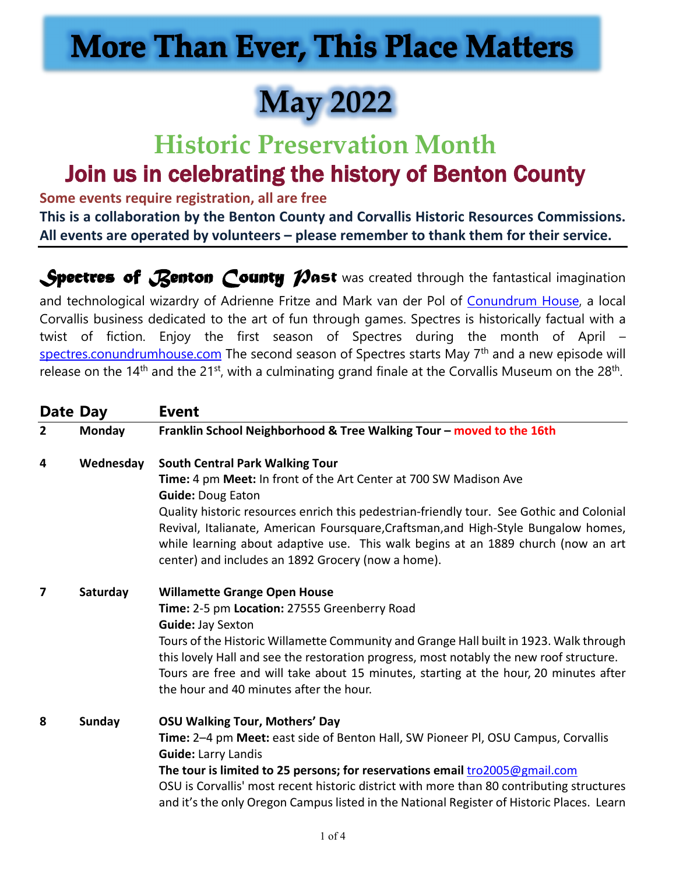## **More Than Ever, This Place Matters**

## **May 2022**

# **Historic Preservation Month**

### Join us in celebrating the history of Benton County

**Some events require registration, all are free** 

**This is a collaboration by the Benton County and Corvallis Historic Resources Commissions. All events are operated by volunteers – please remember to thank them for their service.** 

**Spectres of Renton County Mast** was created through the fantastical imagination

and technological wizardry of Adrienne Fritze and Mark van der Pol of [Conundrum House,](https://conundrum.house/) a local Corvallis business dedicated to the art of fun through games. Spectres is historically factual with a twist of fiction. Enjoy the first season of Spectres during the month of April – [spectres.conundrumhouse.com](https://spectres.conundrumhouse.com/) The second season of Spectres starts May 7<sup>th</sup> and a new episode will release on the  $14<sup>th</sup>$  and the  $21<sup>st</sup>$ , with a culminating grand finale at the Corvallis Museum on the  $28<sup>th</sup>$ .

| Date Day       |           | <b>Event</b>                                                                              |
|----------------|-----------|-------------------------------------------------------------------------------------------|
| $\overline{2}$ | Monday    | Franklin School Neighborhood & Tree Walking Tour - moved to the 16th                      |
| 4              | Wednesday | <b>South Central Park Walking Tour</b>                                                    |
|                |           | Time: 4 pm Meet: In front of the Art Center at 700 SW Madison Ave                         |
|                |           | <b>Guide: Doug Eaton</b>                                                                  |
|                |           | Quality historic resources enrich this pedestrian-friendly tour. See Gothic and Colonial  |
|                |           | Revival, Italianate, American Foursquare, Craftsman, and High-Style Bungalow homes,       |
|                |           | while learning about adaptive use. This walk begins at an 1889 church (now an art         |
|                |           | center) and includes an 1892 Grocery (now a home).                                        |
| 7              | Saturday  | <b>Willamette Grange Open House</b>                                                       |
|                |           | Time: 2-5 pm Location: 27555 Greenberry Road                                              |
|                |           | Guide: Jay Sexton                                                                         |
|                |           | Tours of the Historic Willamette Community and Grange Hall built in 1923. Walk through    |
|                |           | this lovely Hall and see the restoration progress, most notably the new roof structure.   |
|                |           | Tours are free and will take about 15 minutes, starting at the hour, 20 minutes after     |
|                |           | the hour and 40 minutes after the hour.                                                   |
| 8              | Sunday    | <b>OSU Walking Tour, Mothers' Day</b>                                                     |
|                |           | Time: 2-4 pm Meet: east side of Benton Hall, SW Pioneer Pl, OSU Campus, Corvallis         |
|                |           | <b>Guide: Larry Landis</b>                                                                |
|                |           | The tour is limited to 25 persons; for reservations email tro2005@gmail.com               |
|                |           | OSU is Corvallis' most recent historic district with more than 80 contributing structures |
|                |           | and it's the only Oregon Campus listed in the National Register of Historic Places. Learn |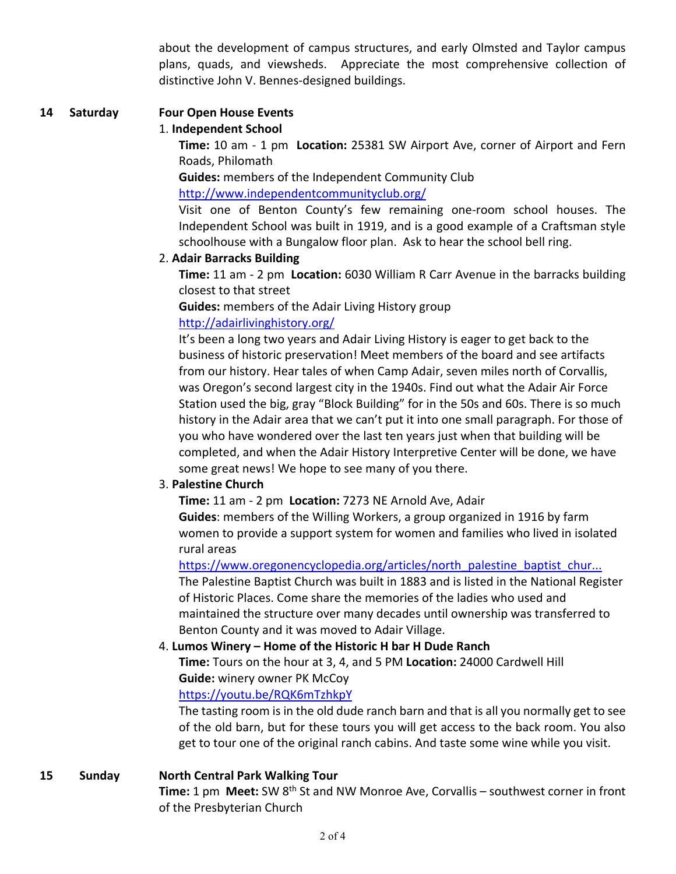about the development of campus structures, and early Olmsted and Taylor campus plans, quads, and viewsheds. Appreciate the most comprehensive collection of distinctive John V. Bennes-designed buildings.

#### **14 Saturday Four Open House Events**

#### 1. **Independent School**

**Time:** 10 am - 1 pm **Location:** 25381 SW Airport Ave, corner of Airport and Fern Roads, Philomath

**Guides:** members of the Independent Community Club

<http://www.independentcommunityclub.org/>

Visit one of Benton County's few remaining one-room school houses. The Independent School was built in 1919, and is a good example of a Craftsman style schoolhouse with a Bungalow floor plan. Ask to hear the school bell ring.

#### 2. **Adair Barracks Building**

**Time:** 11 am - 2 pm **Location:** 6030 William R Carr Avenue in the barracks building closest to that street

**Guides:** members of the Adair Living History group <http://adairlivinghistory.org/>

It's been a long two years and Adair Living History is eager to get back to the business of historic preservation! Meet members of the board and see artifacts from our history. Hear tales of when Camp Adair, seven miles north of Corvallis, was Oregon's second largest city in the 1940s. Find out what the Adair Air Force Station used the big, gray "Block Building" for in the 50s and 60s. There is so much history in the Adair area that we can't put it into one small paragraph. For those of you who have wondered over the last ten years just when that building will be completed, and when the Adair History Interpretive Center will be done, we have some great news! We hope to see many of you there.

#### 3. **Palestine Church**

**Time:** 11 am - 2 pm **Location:** 7273 NE Arnold Ave, Adair

**Guides**: members of the Willing Workers, a group organized in 1916 by farm women to provide a support system for women and families who lived in isolated rural areas

[https://www.oregonencyclopedia.org/articles/north\\_palestine\\_baptist\\_chur...](https://www.oregonencyclopedia.org/articles/north_palestine_baptist_church_benton_county/#.Yk9us8jMLjY%C2%A0) The Palestine Baptist Church was built in 1883 and is listed in the National Register of Historic Places. Come share the memories of the ladies who used and maintained the structure over many decades until ownership was transferred to Benton County and it was moved to Adair Village.

#### 4. **Lumos Winery – Home of the Historic H bar H Dude Ranch**

**Time:** Tours on the hour at 3, 4, and 5 PM **Location:** 24000 Cardwell Hill **Guide:** winery owner PK McCoy

#### <https://youtu.be/RQK6mTzhkpY>

The tasting room is in the old dude ranch barn and that is all you normally get to see of the old barn, but for these tours you will get access to the back room. You also get to tour one of the original ranch cabins. And taste some wine while you visit.

#### **15 Sunday North Central Park Walking Tour**

**Time:** 1 pm Meet: SW 8<sup>th</sup> St and NW Monroe Ave, Corvallis – southwest corner in front of the Presbyterian Church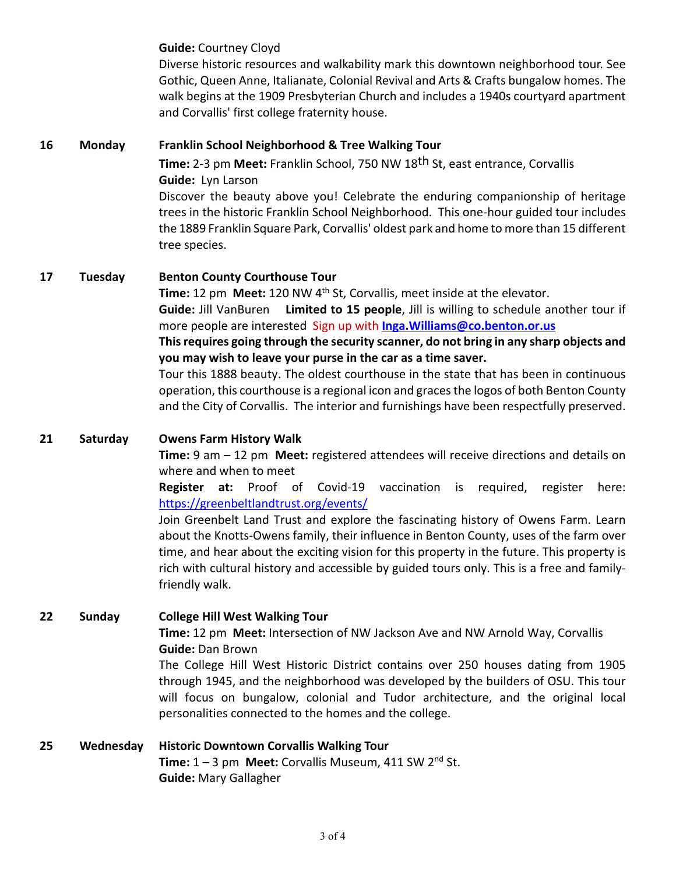**Guide:** Courtney Cloyd

Diverse historic resources and walkability mark this downtown neighborhood tour. See Gothic, Queen Anne, Italianate, Colonial Revival and Arts & Crafts bungalow homes. The walk begins at the 1909 Presbyterian Church and includes a 1940s courtyard apartment and Corvallis' first college fraternity house.

#### **16 Monday Franklin School Neighborhood & Tree Walking Tour**

**Time:** 2-3 pm **Meet:** Franklin School, 750 NW 18th St, east entrance, Corvallis **Guide:** Lyn Larson

 Discover the beauty above you! Celebrate the enduring companionship of heritage trees in the historic Franklin School Neighborhood. This one-hour guided tour includes the 1889 Franklin Square Park, Corvallis' oldest park and home to more than 15 different tree species.

#### **17 Tuesday Benton County Courthouse Tour**

**Time:** 12 pm **Meet:** 120 NW 4<sup>th</sup> St, Corvallis, meet inside at the elevator. **Guide:** Jill VanBuren **Limited to 15 people**, Jill is willing to schedule another tour if more people are interested Sign up with **[Inga.Williams@co.benton.or.us](mailto:Inga.Williams@co.benton.or.us)**

**This requires going through the security scanner, do not bring in any sharp objects and you may wish to leave your purse in the car as a time saver.**

Tour this 1888 beauty. The oldest courthouse in the state that has been in continuous operation, this courthouse is a regional icon and graces the logos of both Benton County and the City of Corvallis. The interior and furnishings have been respectfully preserved.

#### **21 Saturday Owens Farm History Walk**

**Time:** 9 am – 12 pm **Meet:** registered attendees will receive directions and details on where and when to meet

**Register at:** Proof of Covid-19 vaccination is required, register here: <https://greenbeltlandtrust.org/events/>

Join Greenbelt Land Trust and explore the fascinating history of Owens Farm. Learn about the Knotts-Owens family, their influence in Benton County, uses of the farm over time, and hear about the exciting vision for this property in the future. This property is rich with cultural history and accessible by guided tours only. This is a free and familyfriendly walk.

#### **22 Sunday College Hill West Walking Tour**

#### **Time:** 12 pm **Meet:** Intersection of NW Jackson Ave and NW Arnold Way, Corvallis  **Guide:** Dan Brown

The College Hill West Historic District contains over 250 houses dating from 1905 through 1945, and the neighborhood was developed by the builders of OSU. This tour will focus on bungalow, colonial and Tudor architecture, and the original local personalities connected to the homes and the college.

#### **25 Wednesday Historic Downtown Corvallis Walking Tour Time:**  $1 - 3$  pm **Meet:** Corvallis Museum,  $411$  SW  $2^{nd}$  St.

**Guide:** Mary Gallagher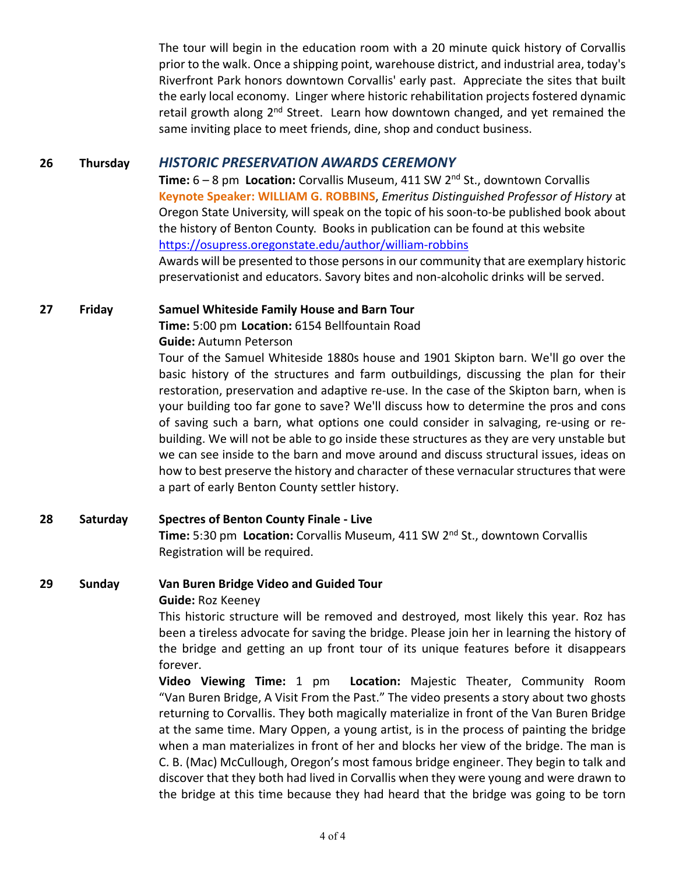The tour will begin in the education room with a 20 minute quick history of Corvallis prior to the walk. Once a shipping point, warehouse district, and industrial area, today's Riverfront Park honors downtown Corvallis' early past. Appreciate the sites that built the early local economy. Linger where historic rehabilitation projects fostered dynamic retail growth along  $2<sup>nd</sup>$  Street. Learn how downtown changed, and yet remained the same inviting place to meet friends, dine, shop and conduct business.

#### **26 Thursday** *HISTORIC PRESERVATION AWARDS CEREMONY*

 **Time:** 6 – 8 pm **Location:** Corvallis Museum, 411 SW 2nd St., downtown Corvallis **Keynote Speaker: WILLIAM G. ROBBINS**, *Emeritus Distinguished Professor of History* at Oregon State University, will speak on the topic of his soon-to-be published book about the history of Benton County. Books in publication can be found at this website <https://osupress.oregonstate.edu/author/william-robbins> Awards will be presented to those persons in our community that are exemplary historic preservationist and educators. Savory bites and non-alcoholic drinks will be served.

**27 Friday Samuel Whiteside Family House and Barn Tour Time:** 5:00 pm **Location:** 6154 Bellfountain Road

#### **Guide:** Autumn Peterson

Tour of the Samuel Whiteside 1880s house and 1901 Skipton barn. We'll go over the basic history of the structures and farm outbuildings, discussing the plan for their restoration, preservation and adaptive re-use. In the case of the Skipton barn, when is your building too far gone to save? We'll discuss how to determine the pros and cons of saving such a barn, what options one could consider in salvaging, re-using or rebuilding. We will not be able to go inside these structures as they are very unstable but we can see inside to the barn and move around and discuss structural issues, ideas on how to best preserve the history and character of these vernacular structures that were a part of early Benton County settler history.

**28 Saturday Spectres of Benton County Finale - Live Time:** 5:30 pm **Location:** Corvallis Museum, 411 SW 2nd St., downtown Corvallis Registration will be required.

#### **29 Sunday Van Buren Bridge Video and Guided Tour**

#### **Guide:** Roz Keeney

This historic structure will be removed and destroyed, most likely this year. Roz has been a tireless advocate for saving the bridge. Please join her in learning the history of the bridge and getting an up front tour of its unique features before it disappears forever.

**Video Viewing Time:** 1 pm **Location:** Majestic Theater, Community Room "Van Buren Bridge, A Visit From the Past." The video presents a story about two ghosts returning to Corvallis. They both magically materialize in front of the Van Buren Bridge at the same time. Mary Oppen, a young artist, is in the process of painting the bridge when a man materializes in front of her and blocks her view of the bridge. The man is C. B. (Mac) McCullough, Oregon's most famous bridge engineer. They begin to talk and discover that they both had lived in Corvallis when they were young and were drawn to the bridge at this time because they had heard that the bridge was going to be torn